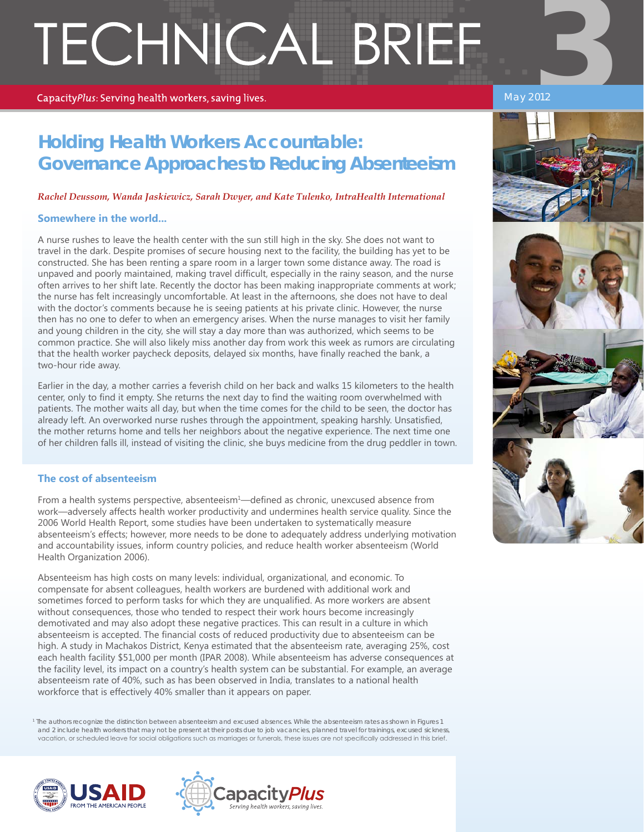# TECHNICAL BRIEF

#### CapacityPlus: Serving health workers, saving lives.

### May 2012

# **Holding Health Workers Accountable: Governance Approaches to Reducing Absenteeism**

#### *Rachel Deussom, Wanda Jaskiewicz, Sarah Dwyer, and Kate Tulenko, IntraHealth International*

#### **Somewhere in the world...**

A nurse rushes to leave the health center with the sun still high in the sky. She does not want to travel in the dark. Despite promises of secure housing next to the facility, the building has yet to be constructed. She has been renting a spare room in a larger town some distance away. The road is unpaved and poorly maintained, making travel difficult, especially in the rainy season, and the nurse often arrives to her shift late. Recently the doctor has been making inappropriate comments at work; the nurse has felt increasingly uncomfortable. At least in the afternoons, she does not have to deal with the doctor's comments because he is seeing patients at his private clinic. However, the nurse then has no one to defer to when an emergency arises. When the nurse manages to visit her family and young children in the city, she will stay a day more than was authorized, which seems to be common practice. She will also likely miss another day from work this week as rumors are circulating that the health worker paycheck deposits, delayed six months, have finally reached the bank, a two-hour ride away.

Earlier in the day, a mother carries a feverish child on her back and walks 15 kilometers to the health center, only to find it empty. She returns the next day to find the waiting room overwhelmed with patients. The mother waits all day, but when the time comes for the child to be seen, the doctor has already left. An overworked nurse rushes through the appointment, speaking harshly. Unsatisfied, the mother returns home and tells her neighbors about the negative experience. The next time one of her children falls ill, instead of visiting the clinic, she buys medicine from the drug peddler in town.

#### **The cost of absenteeism**

From a health systems perspective, absenteeism<sup>1</sup>—defined as chronic, unexcused absence from work—adversely affects health worker productivity and undermines health service quality. Since the 2006 World Health Report, some studies have been undertaken to systematically measure absenteeism's effects; however, more needs to be done to adequately address underlying motivation and accountability issues, inform country policies, and reduce health worker absenteeism (World Health Organization 2006).

Absenteeism has high costs on many levels: individual, organizational, and economic. To compensate for absent colleagues, health workers are burdened with additional work and sometimes forced to perform tasks for which they are unqualified. As more workers are absent without consequences, those who tended to respect their work hours become increasingly demotivated and may also adopt these negative practices. This can result in a culture in which absenteeism is accepted. The financial costs of reduced productivity due to absenteeism can be high. A study in Machakos District, Kenya estimated that the absenteeism rate, averaging 25%, cost each health facility \$51,000 per month (IPAR 2008). While absenteeism has adverse consequences at the facility level, its impact on a country's health system can be substantial. For example, an average absenteeism rate of 40%, such as has been observed in India, translates to a national health workforce that is effectively 40% smaller than it appears on paper.

1 The authors recognize the distinction between absenteeism and excused absences. While the absenteeism rates as shown in Figures 1 and 2 include health workers that may not be present at their posts due to job vacancies, planned travel for trainings, excused sickness, vacation, or scheduled leave for social obligations such as marriages or funerals, these issues are not specifically addressed in this brief.





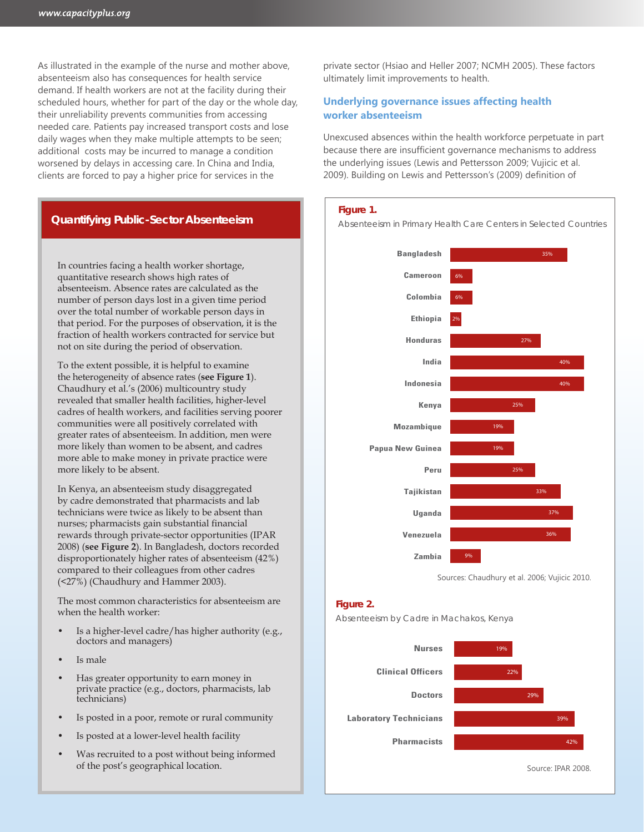As illustrated in the example of the nurse and mother above, absenteeism also has consequences for health service demand. If health workers are not at the facility during their scheduled hours, whether for part of the day or the whole day, their unreliability prevents communities from accessing needed care. Patients pay increased transport costs and lose daily wages when they make multiple attempts to be seen; additional costs may be incurred to manage a condition worsened by delays in accessing care. In China and India, clients are forced to pay a higher price for services in the

# **Quantifying Public-Sector Absenteeism**

In countries facing a health worker shortage, quantitative research shows high rates of absenteeism. Absence rates are calculated as the number of person days lost in a given time period over the total number of workable person days in that period. For the purposes of observation, it is the fraction of health workers contracted for service but not on site during the period of observation.

To the extent possible, it is helpful to examine the heterogeneity of absence rates (**see Figure 1**). Chaudhury et al.'s (2006) multicountry study revealed that smaller health facilities, higher-level cadres of health workers, and facilities serving poorer communities were all positively correlated with greater rates of absenteeism. In addition, men were more likely than women to be absent, and cadres more able to make money in private practice were more likely to be absent.

In Kenya, an absenteeism study disaggregated by cadre demonstrated that pharmacists and lab technicians were twice as likely to be absent than nurses; pharmacists gain substantial financial rewards through private-sector opportunities (IPAR 2008) (**see Figure 2**). In Bangladesh, doctors recorded disproportionately higher rates of absenteeism (42%) compared to their colleagues from other cadres (<27%) (Chaudhury and Hammer 2003).

The most common characteristics for absenteeism are when the health worker:

- Is a higher-level cadre/has higher authority (e.g., doctors and managers)
- Is male
- Has greater opportunity to earn money in private practice (e.g., doctors, pharmacists, lab technicians)
- Is posted in a poor, remote or rural community
- Is posted at a lower-level health facility
- Was recruited to a post without being informed of the post's geographical location.

private sector (Hsiao and Heller 2007; NCMH 2005). These factors ultimately limit improvements to health.

# **Underlying governance issues affecting health worker absenteeism**

Unexcused absences within the health workforce perpetuate in part because there are insufficient governance mechanisms to address the underlying issues (Lewis and Pettersson 2009; Vujicic et al. 2009). Building on Lewis and Pettersson's (2009) definition of

#### **Figure 1.**

Absenteeism in Primary Health Care Centers in Selected Countries



Sources: Chaudhury et al. 2006; Vujicic 2010.

#### **Figure 2.**

Absenteeism by Cadre in Machakos, Kenya

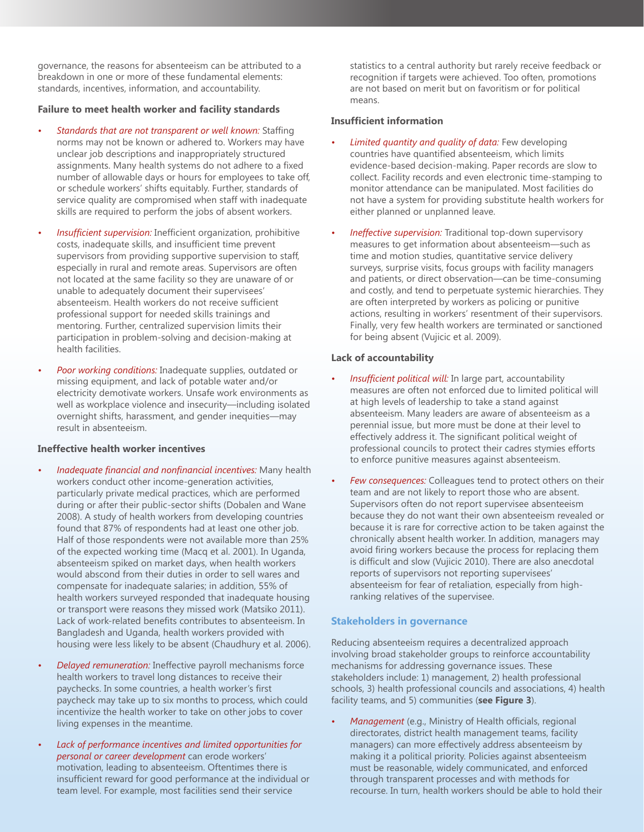governance, the reasons for absenteeism can be attributed to a breakdown in one or more of these fundamental elements: standards, incentives, information, and accountability.

#### **Failure to meet health worker and facility standards**

- *• Standards that are not transparent or well known:* Staffing norms may not be known or adhered to. Workers may have unclear job descriptions and inappropriately structured assignments. Many health systems do not adhere to a fixed number of allowable days or hours for employees to take off, or schedule workers' shifts equitably. Further, standards of service quality are compromised when staff with inadequate skills are required to perform the jobs of absent workers.
- *Insufficient supervision:* Inefficient organization, prohibitive costs, inadequate skills, and insufficient time prevent supervisors from providing supportive supervision to staff, especially in rural and remote areas. Supervisors are often not located at the same facility so they are unaware of or unable to adequately document their supervisees' absenteeism. Health workers do not receive sufficient professional support for needed skills trainings and mentoring. Further, centralized supervision limits their participation in problem-solving and decision-making at health facilities.
- *Poor working conditions:* Inadequate supplies, outdated or missing equipment, and lack of potable water and/or electricity demotivate workers. Unsafe work environments as well as workplace violence and insecurity—including isolated overnight shifts, harassment, and gender inequities—may result in absenteeism.

#### **Ineffective health worker incentives**

- *Inadequate financial and nonfinancial incentives:* **Many health** workers conduct other income-generation activities, particularly private medical practices, which are performed during or after their public-sector shifts (Dobalen and Wane 2008). A study of health workers from developing countries found that 87% of respondents had at least one other job. Half of those respondents were not available more than 25% of the expected working time (Macq et al. 2001). In Uganda, absenteeism spiked on market days, when health workers would abscond from their duties in order to sell wares and compensate for inadequate salaries; in addition, 55% of health workers surveyed responded that inadequate housing or transport were reasons they missed work (Matsiko 2011). Lack of work-related benefits contributes to absenteeism. In Bangladesh and Uganda, health workers provided with housing were less likely to be absent (Chaudhury et al. 2006).
- *Delayed remuneration:* Ineffective payroll mechanisms force health workers to travel long distances to receive their paychecks. In some countries, a health worker's first paycheck may take up to six months to process, which could incentivize the health worker to take on other jobs to cover living expenses in the meantime.
- *• Lack of performance incentives and limited opportunities for personal or career development* can erode workers' motivation, leading to absenteeism. Oftentimes there is insufficient reward for good performance at the individual or team level. For example, most facilities send their service

statistics to a central authority but rarely receive feedback or recognition if targets were achieved. Too often, promotions are not based on merit but on favoritism or for political means.

#### **Insufficient information**

- *• Limited quantity and quality of data:* Few developing countries have quantified absenteeism, which limits evidence-based decision-making. Paper records are slow to collect. Facility records and even electronic time-stamping to monitor attendance can be manipulated. Most facilities do not have a system for providing substitute health workers for either planned or unplanned leave.
- *Ineffective supervision:* Traditional top-down supervisory measures to get information about absenteeism—such as time and motion studies, quantitative service delivery surveys, surprise visits, focus groups with facility managers and patients, or direct observation—can be time-consuming and costly, and tend to perpetuate systemic hierarchies. They are often interpreted by workers as policing or punitive actions, resulting in workers' resentment of their supervisors. Finally, very few health workers are terminated or sanctioned for being absent (Vujicic et al. 2009).

#### **Lack of accountability**

- *Insufficient political will: In large part, accountability* measures are often not enforced due to limited political will at high levels of leadership to take a stand against absenteeism. Many leaders are aware of absenteeism as a perennial issue, but more must be done at their level to effectively address it. The significant political weight of professional councils to protect their cadres stymies efforts to enforce punitive measures against absenteeism.
- *Few consequences:* Colleagues tend to protect others on their team and are not likely to report those who are absent. Supervisors often do not report supervisee absenteeism because they do not want their own absenteeism revealed or because it is rare for corrective action to be taken against the chronically absent health worker. In addition, managers may avoid firing workers because the process for replacing them is difficult and slow (Vujicic 2010). There are also anecdotal reports of supervisors not reporting supervisees' absenteeism for fear of retaliation, especially from highranking relatives of the supervisee.

#### **Stakeholders in governance**

Reducing absenteeism requires a decentralized approach involving broad stakeholder groups to reinforce accountability mechanisms for addressing governance issues. These stakeholders include: 1) management, 2) health professional schools, 3) health professional councils and associations, 4) health facility teams, and 5) communities (**see Figure 3**).

*Management* (e.g., Ministry of Health officials, regional directorates, district health management teams, facility managers) can more effectively address absenteeism by making it a political priority. Policies against absenteeism must be reasonable, widely communicated, and enforced through transparent processes and with methods for recourse. In turn, health workers should be able to hold their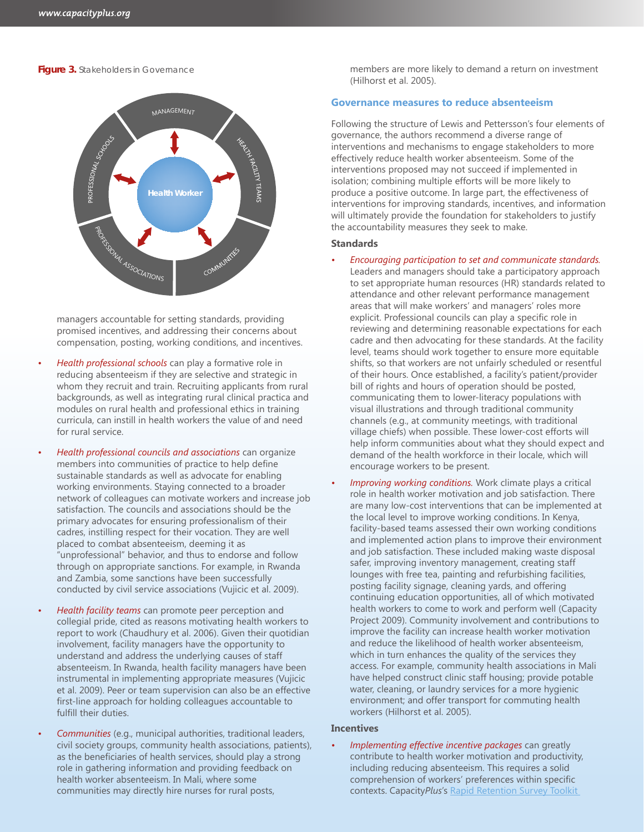#### **Figure 3. Stakeholders in Governance**



managers accountable for setting standards, providing promised incentives, and addressing their concerns about compensation, posting, working conditions, and incentives.

- *Health professional schools* can play a formative role in reducing absenteeism if they are selective and strategic in whom they recruit and train. Recruiting applicants from rural backgrounds, as well as integrating rural clinical practica and modules on rural health and professional ethics in training curricula, can instill in health workers the value of and need for rural service.
- *Health professional councils and associations* can organize members into communities of practice to help define sustainable standards as well as advocate for enabling working environments. Staying connected to a broader network of colleagues can motivate workers and increase job satisfaction. The councils and associations should be the primary advocates for ensuring professionalism of their cadres, instilling respect for their vocation. They are well placed to combat absenteeism, deeming it as "unprofessional" behavior, and thus to endorse and follow through on appropriate sanctions. For example, in Rwanda and Zambia, some sanctions have been successfully conducted by civil service associations (Vujicic et al. 2009).
- *Health facility teams* can promote peer perception and collegial pride, cited as reasons motivating health workers to report to work (Chaudhury et al. 2006). Given their quotidian involvement, facility managers have the opportunity to understand and address the underlying causes of staff absenteeism. In Rwanda, health facility managers have been instrumental in implementing appropriate measures (Vujicic et al. 2009). Peer or team supervision can also be an effective first-line approach for holding colleagues accountable to fulfill their duties.
- *Communities* (e.g., municipal authorities, traditional leaders, civil society groups, community health associations, patients), as the beneficiaries of health services, should play a strong role in gathering information and providing feedback on health worker absenteeism. In Mali, where some communities may directly hire nurses for rural posts,

members are more likely to demand a return on investment (Hilhorst et al. 2005).

#### **Governance measures to reduce absenteeism**

Following the structure of Lewis and Pettersson's four elements of governance, the authors recommend a diverse range of interventions and mechanisms to engage stakeholders to more effectively reduce health worker absenteeism. Some of the interventions proposed may not succeed if implemented in isolation; combining multiple efforts will be more likely to produce a positive outcome. In large part, the effectiveness of interventions for improving standards, incentives, and information will ultimately provide the foundation for stakeholders to justify the accountability measures they seek to make.

#### **Standards**

- *• Encouraging participation to set and communicate standards.* Leaders and managers should take a participatory approach to set appropriate human resources (HR) standards related to attendance and other relevant performance management areas that will make workers' and managers' roles more explicit. Professional councils can play a specific role in reviewing and determining reasonable expectations for each cadre and then advocating for these standards. At the facility level, teams should work together to ensure more equitable shifts, so that workers are not unfairly scheduled or resentful of their hours. Once established, a facility's patient/provider bill of rights and hours of operation should be posted, communicating them to lower-literacy populations with visual illustrations and through traditional community channels (e.g., at community meetings, with traditional village chiefs) when possible. These lower-cost efforts will help inform communities about what they should expect and demand of the health workforce in their locale, which will encourage workers to be present.
- *Improving working conditions.* Work climate plays a critical role in health worker motivation and job satisfaction. There are many low-cost interventions that can be implemented at the local level to improve working conditions. In Kenya, facility-based teams assessed their own working conditions and implemented action plans to improve their environment and job satisfaction. These included making waste disposal safer, improving inventory management, creating staff lounges with free tea, painting and refurbishing facilities, posting facility signage, cleaning yards, and offering continuing education opportunities, all of which motivated health workers to come to work and perform well (Capacity Project 2009). Community involvement and contributions to improve the facility can increase health worker motivation and reduce the likelihood of health worker absenteeism, which in turn enhances the quality of the services they access. For example, community health associations in Mali have helped construct clinic staff housing; provide potable water, cleaning, or laundry services for a more hygienic environment; and offer transport for commuting health workers (Hilhorst et al. 2005).

#### **Incentives**

*Implementing effective incentive packages can greatly* contribute to health worker motivation and productivity, including reducing absenteeism. This requires a solid comprehension of workers' preferences within specific contexts. Capacity*Plus*'s [Rapid Retention Survey Toolkit](http://www.capacityplus.org/files/resources/rapid-retention-survey-toolkit-overview.pdf)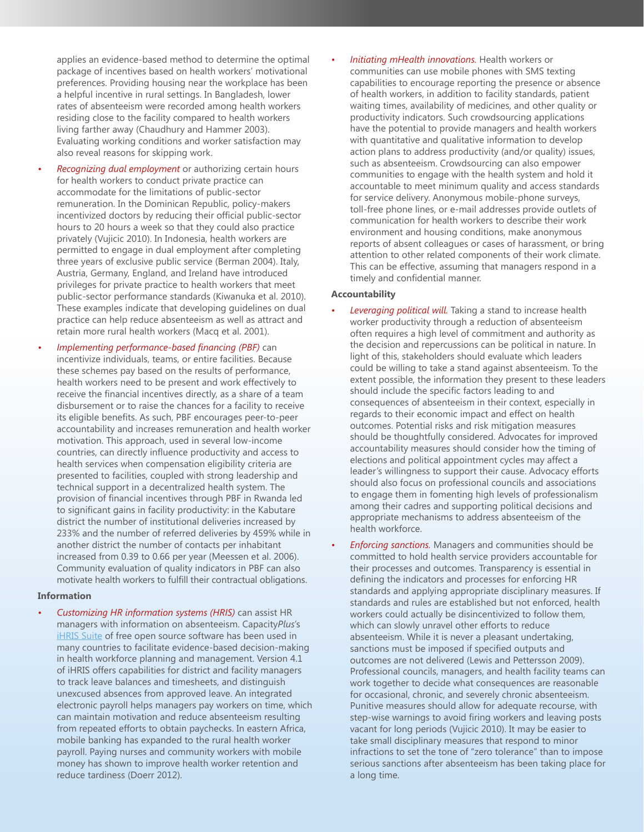applies an evidence-based method to determine the optimal package of incentives based on health workers' motivational preferences. Providing housing near the workplace has been a helpful incentive in rural settings. In Bangladesh, lower rates of absenteeism were recorded among health workers residing close to the facility compared to health workers living farther away (Chaudhury and Hammer 2003). Evaluating working conditions and worker satisfaction may also reveal reasons for skipping work.

- *Recognizing dual employment* or authorizing certain hours for health workers to conduct private practice can accommodate for the limitations of public-sector remuneration. In the Dominican Republic, policy-makers incentivized doctors by reducing their official public-sector hours to 20 hours a week so that they could also practice privately (Vujicic 2010). In Indonesia, health workers are permitted to engage in dual employment after completing three years of exclusive public service (Berman 2004). Italy, Austria, Germany, England, and Ireland have introduced privileges for private practice to health workers that meet public-sector performance standards (Kiwanuka et al. 2010). These examples indicate that developing guidelines on dual practice can help reduce absenteeism as well as attract and retain more rural health workers (Macq et al. 2001).
- *<i>Implementing performance-based financing (PBF)* **can** incentivize individuals, teams, or entire facilities. Because these schemes pay based on the results of performance, health workers need to be present and work effectively to receive the financial incentives directly, as a share of a team disbursement or to raise the chances for a facility to receive its eligible benefits. As such, PBF encourages peer-to-peer accountability and increases remuneration and health worker motivation. This approach, used in several low-income countries, can directly influence productivity and access to health services when compensation eligibility criteria are presented to facilities, coupled with strong leadership and technical support in a decentralized health system. The provision of financial incentives through PBF in Rwanda led to significant gains in facility productivity: in the Kabutare district the number of institutional deliveries increased by 233% and the number of referred deliveries by 459% while in another district the number of contacts per inhabitant increased from 0.39 to 0.66 per year (Meessen et al. 2006). Community evaluation of quality indicators in PBF can also motivate health workers to fulfill their contractual obligations.

#### **Information**

*• Customizing HR information systems (HRIS)* can assist HR managers with information on absenteeism. Capacity*Plus*'s [iHRIS Suite](http://www.ihris.org) of free open source software has been used in many countries to facilitate evidence-based decision-making in health workforce planning and management. Version 4.1 of iHRIS offers capabilities for district and facility managers to track leave balances and timesheets, and distinguish unexcused absences from approved leave. An integrated electronic payroll helps managers pay workers on time, which can maintain motivation and reduce absenteeism resulting from repeated efforts to obtain paychecks. In eastern Africa, mobile banking has expanded to the rural health worker payroll. Paying nurses and community workers with mobile money has shown to improve health worker retention and reduce tardiness (Doerr 2012).

*Initiating mHealth innovations.* Health workers or communities can use mobile phones with SMS texting capabilities to encourage reporting the presence or absence of health workers, in addition to facility standards, patient waiting times, availability of medicines, and other quality or productivity indicators. Such crowdsourcing applications have the potential to provide managers and health workers with quantitative and qualitative information to develop action plans to address productivity (and/or quality) issues, such as absenteeism. Crowdsourcing can also empower communities to engage with the health system and hold it accountable to meet minimum quality and access standards for service delivery. Anonymous mobile-phone surveys, toll-free phone lines, or e-mail addresses provide outlets of communication for health workers to describe their work environment and housing conditions, make anonymous reports of absent colleagues or cases of harassment, or bring attention to other related components of their work climate. This can be effective, assuming that managers respond in a timely and confidential manner.

#### **Accountability**

- *Leveraging political will.* Taking a stand to increase health worker productivity through a reduction of absenteeism often requires a high level of commitment and authority as the decision and repercussions can be political in nature. In light of this, stakeholders should evaluate which leaders could be willing to take a stand against absenteeism. To the extent possible, the information they present to these leaders should include the specific factors leading to and consequences of absenteeism in their context, especially in regards to their economic impact and effect on health outcomes. Potential risks and risk mitigation measures should be thoughtfully considered. Advocates for improved accountability measures should consider how the timing of elections and political appointment cycles may affect a leader's willingness to support their cause. Advocacy efforts should also focus on professional councils and associations to engage them in fomenting high levels of professionalism among their cadres and supporting political decisions and appropriate mechanisms to address absenteeism of the health workforce.
- *Enforcing sanctions.* Managers and communities should be committed to hold health service providers accountable for their processes and outcomes. Transparency is essential in defining the indicators and processes for enforcing HR standards and applying appropriate disciplinary measures. If standards and rules are established but not enforced, health workers could actually be disincentivized to follow them, which can slowly unravel other efforts to reduce absenteeism. While it is never a pleasant undertaking, sanctions must be imposed if specified outputs and outcomes are not delivered (Lewis and Pettersson 2009). Professional councils, managers, and health facility teams can work together to decide what consequences are reasonable for occasional, chronic, and severely chronic absenteeism. Punitive measures should allow for adequate recourse, with step-wise warnings to avoid firing workers and leaving posts vacant for long periods (Vujicic 2010). It may be easier to take small disciplinary measures that respond to minor infractions to set the tone of "zero tolerance" than to impose serious sanctions after absenteeism has been taking place for a long time.